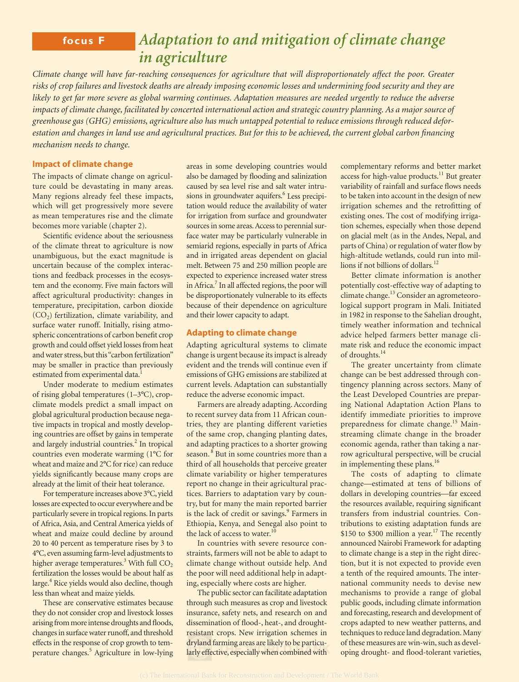# **focus F** *Adaptation to and mitigation of climate change in agriculture*

*Climate change will have far-reaching consequences for agriculture that will disproportionately affect the poor. Greater risks of crop failures and livestock deaths are already imposing economic losses and undermining food security and they are likely to get far more severe as global warming continues. Adaptation measures are needed urgently to reduce the adverse impacts of climate change, facilitated by concerted international action and strategic country planning. As a major source of greenhouse gas (GHG) emissions, agriculture also has much untapped potential to reduce emissions through reduced deforestation and changes in land use and agricultural practices. But for this to be achieved, the current global carbon financing mechanism needs to change.*

## **Impact of climate change**

The impacts of climate change on agriculture could be devastating in many areas. Many regions already feel these impacts, which will get progressively more severe as mean temperatures rise and the climate becomes more variable (chapter 2).

Scientific evidence about the seriousness of the climate threat to agriculture is now unambiguous, but the exact magnitude is uncertain because of the complex interactions and feedback processes in the ecosystem and the economy. Five main factors will affect agricultural productivity: changes in temperature, precipitation, carbon dioxide  $(CO<sub>2</sub>)$  fertilization, climate variability, and surface water runoff. Initially, rising atmospheric concentrations of carbon benefit crop growth and could offset yield losses from heat and water stress, but this "carbon fertilization" may be smaller in practice than previously estimated from experimental data.<sup>1</sup>

Under moderate to medium estimates of rising global temperatures (1–3°C), cropclimate models predict a small impact on global agricultural production because negative impacts in tropical and mostly developing countries are offset by gains in temperate and largely industrial countries.<sup>2</sup> In tropical countries even moderate warming (1°C for wheat and maize and 2°C for rice) can reduce yields significantly because many crops are already at the limit of their heat tolerance.

For temperature increases above 3°C, yield losses are expected to occur everywhere and be particularly severe in tropical regions. In parts of Africa, Asia, and Central America yields of wheat and maize could decline by around 20 to 40 percent as temperature rises by 3 to 4°C, even assuming farm-level adjustments to higher average temperatures. $^3$  With full CO<sub>2</sub> fertilization the losses would be about half as large.<sup>4</sup> Rice yields would also decline, though less than wheat and maize yields.

These are conservative estimates because they do not consider crop and livestock losses arising from more intense droughts and floods, changes in surface water runoff, and threshold effects in the response of crop growth to temperature changes.<sup>5</sup> Agriculture in low-lying areas in some developing countries would also be damaged by flooding and salinization caused by sea level rise and salt water intrusions in groundwater aquifers.<sup>6</sup> Less precipitation would reduce the availability of water for irrigation from surface and groundwater sources in some areas. Access to perennial surface water may be particularly vulnerable in semiarid regions, especially in parts of Africa and in irrigated areas dependent on glacial melt. Between 75 and 250 million people are expected to experience increased water stress in Africa.<sup>7</sup> In all affected regions, the poor will be disproportionately vulnerable to its effects because of their dependence on agriculture and their lower capacity to adapt.

### **Adapting to climate change**

Adapting agricultural systems to climate change is urgent because its impact is already evident and the trends will continue even if emissions of GHG emissions are stabilized at current levels. Adaptation can substantially reduce the adverse economic impact.

Farmers are already adapting. According to recent survey data from 11 African countries, they are planting different varieties of the same crop, changing planting dates, and adapting practices to a shorter growing season.<sup>8</sup> But in some countries more than a third of all households that perceive greater climate variability or higher temperatures report no change in their agricultural practices. Barriers to adaptation vary by country, but for many the main reported barrier is the lack of credit or savings.<sup>9</sup> Farmers in Ethiopia, Kenya, and Senegal also point to the lack of access to water.<sup>1</sup>

In countries with severe resource constraints, farmers will not be able to adapt to climate change without outside help. And the poor will need additional help in adapting, especially where costs are higher.

The public sector can facilitate adaptation through such measures as crop and livestock insurance, safety nets, and research on and dissemination of flood-, heat-, and droughtresistant crops. New irrigation schemes in dryland farming areas are likely to be particularly effective, especially when combined with

complementary reforms and better market access for high-value products.<sup>11</sup> But greater variability of rainfall and surface flows needs to be taken into account in the design of new irrigation schemes and the retrofitting of existing ones. The cost of modifying irrigation schemes, especially when those depend on glacial melt (as in the Andes, Nepal, and parts of China) or regulation of water flow by high-altitude wetlands, could run into millions if not billions of dollars.<sup>12</sup>

Better climate information is another potentially cost-effective way of adapting to climate change.<sup>13</sup> Consider an agrometeorological support program in Mali. Initiated in 1982 in response to the Sahelian drought, timely weather information and technical advice helped farmers better manage climate risk and reduce the economic impact of droughts.<sup>14</sup>

The greater uncertainty from climate change can be best addressed through contingency planning across sectors. Many of the Least Developed Countries are preparing National Adaptation Action Plans to identify immediate priorities to improve preparedness for climate change.<sup>15</sup> Mainstreaming climate change in the broader economic agenda, rather than taking a narrow agricultural perspective, will be crucial in implementing these plans.<sup>16</sup>

The costs of adapting to climate change—estimated at tens of billions of dollars in developing countries—far exceed the resources available, requiring significant transfers from industrial countries. Contributions to existing adaptation funds are \$150 to \$300 million a year.<sup>17</sup> The recently announced Nairobi Framework for adapting to climate change is a step in the right direction, but it is not expected to provide even a tenth of the required amounts. The international community needs to devise new mechanisms to provide a range of global public goods, including climate information and forecasting, research and development of crops adapted to new weather patterns, and techniques to reduce land degradation. Many of these measures are win-win, such as developing drought- and flood-tolerant varieties,